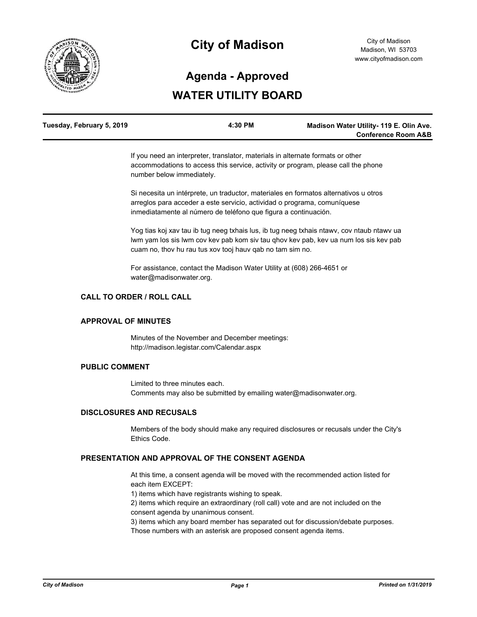

## **City of Madison**

# **Agenda - Approved**

### **WATER UTILITY BOARD**

| Tuesday, February 5, 2019 | 4:30 PM | Madison Water Utility- 119 E. Olin Ave. |
|---------------------------|---------|-----------------------------------------|
|                           |         | <b>Conference Room A&amp;B</b>          |

If you need an interpreter, translator, materials in alternate formats or other accommodations to access this service, activity or program, please call the phone number below immediately.

Si necesita un intérprete, un traductor, materiales en formatos alternativos u otros arreglos para acceder a este servicio, actividad o programa, comuníquese inmediatamente al número de teléfono que figura a continuación.

Yog tias koj xav tau ib tug neeg txhais lus, ib tug neeg txhais ntawv, cov ntaub ntawv ua lwm yam los sis lwm cov kev pab kom siv tau qhov kev pab, kev ua num los sis kev pab cuam no, thov hu rau tus xov tooj hauv qab no tam sim no.

For assistance, contact the Madison Water Utility at (608) 266-4651 or water@madisonwater.org.

#### **CALL TO ORDER / ROLL CALL**

#### **APPROVAL OF MINUTES**

Minutes of the November and December meetings: http://madison.legistar.com/Calendar.aspx

#### **PUBLIC COMMENT**

Limited to three minutes each. Comments may also be submitted by emailing water@madisonwater.org.

#### **DISCLOSURES AND RECUSALS**

Members of the body should make any required disclosures or recusals under the City's Ethics Code.

#### **PRESENTATION AND APPROVAL OF THE CONSENT AGENDA**

At this time, a consent agenda will be moved with the recommended action listed for each item EXCEPT:

1) items which have registrants wishing to speak.

2) items which require an extraordinary (roll call) vote and are not included on the consent agenda by unanimous consent.

3) items which any board member has separated out for discussion/debate purposes. Those numbers with an asterisk are proposed consent agenda items.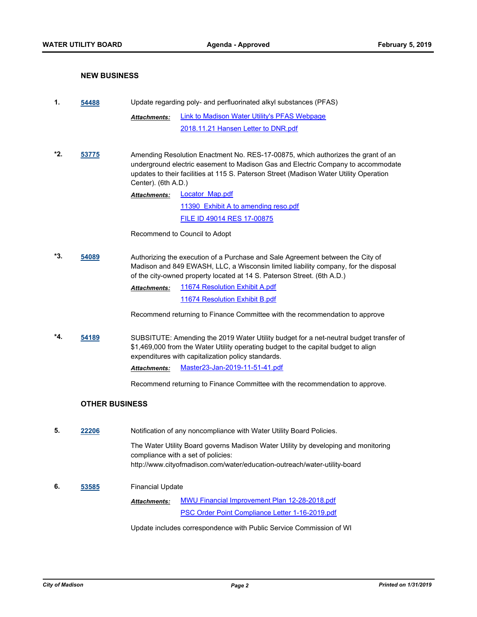#### **NEW BUSINESS**

| 1.  | 54488                 | Update regarding poly- and perfluorinated alkyl substances (PFAS)                                                                                                                                                                  |                                                                                                                                                                                                                                                                |
|-----|-----------------------|------------------------------------------------------------------------------------------------------------------------------------------------------------------------------------------------------------------------------------|----------------------------------------------------------------------------------------------------------------------------------------------------------------------------------------------------------------------------------------------------------------|
|     |                       | <b>Attachments:</b>                                                                                                                                                                                                                | <b>Link to Madison Water Utility's PFAS Webpage</b>                                                                                                                                                                                                            |
|     |                       |                                                                                                                                                                                                                                    | 2018.11.21 Hansen Letter to DNR.pdf                                                                                                                                                                                                                            |
|     |                       |                                                                                                                                                                                                                                    |                                                                                                                                                                                                                                                                |
| *2. | 53775                 | Center). (6th A.D.)                                                                                                                                                                                                                | Amending Resolution Enactment No. RES-17-00875, which authorizes the grant of an<br>underground electric easement to Madison Gas and Electric Company to accommodate<br>updates to their facilities at 115 S. Paterson Street (Madison Water Utility Operation |
|     |                       | <b>Attachments:</b>                                                                                                                                                                                                                | <b>Locator Map.pdf</b>                                                                                                                                                                                                                                         |
|     |                       |                                                                                                                                                                                                                                    | <u>11390 Exhibit A to amending reso.pdf</u>                                                                                                                                                                                                                    |
|     |                       |                                                                                                                                                                                                                                    | <b>FILE ID 49014 RES 17-00875</b>                                                                                                                                                                                                                              |
|     |                       |                                                                                                                                                                                                                                    | Recommend to Council to Adopt                                                                                                                                                                                                                                  |
| *3. | 54089                 |                                                                                                                                                                                                                                    | Authorizing the execution of a Purchase and Sale Agreement between the City of<br>Madison and 849 EWASH, LLC, a Wisconsin limited liability company, for the disposal<br>of the city-owned property located at 14 S. Paterson Street. (6th A.D.)               |
|     |                       | <b>Attachments:</b>                                                                                                                                                                                                                | 11674 Resolution Exhibit A.pdf                                                                                                                                                                                                                                 |
|     |                       |                                                                                                                                                                                                                                    | 11674 Resolution Exhibit B.pdf                                                                                                                                                                                                                                 |
|     |                       |                                                                                                                                                                                                                                    | Recommend returning to Finance Committee with the recommendation to approve                                                                                                                                                                                    |
| *4. | 54189                 | SUBSITUTE: Amending the 2019 Water Utility budget for a net-neutral budget transfer of<br>\$1,469,000 from the Water Utility operating budget to the capital budget to align<br>expenditures with capitalization policy standards. |                                                                                                                                                                                                                                                                |
|     |                       | Attachments:                                                                                                                                                                                                                       | Master23-Jan-2019-11-51-41.pdf                                                                                                                                                                                                                                 |
|     |                       |                                                                                                                                                                                                                                    | Recommend returning to Finance Committee with the recommendation to approve.                                                                                                                                                                                   |
|     | <b>OTHER BUSINESS</b> |                                                                                                                                                                                                                                    |                                                                                                                                                                                                                                                                |
| 5.  | 22206                 |                                                                                                                                                                                                                                    | Notification of any noncompliance with Water Utility Board Policies.                                                                                                                                                                                           |
|     |                       |                                                                                                                                                                                                                                    | The Water Utility Board governs Madison Water Utility by developing and monitoring<br>compliance with a set of policies:<br>http://www.cityofmadison.com/water/education-outreach/water-utility-board                                                          |
| 6.  | 53585                 | Financial Update                                                                                                                                                                                                                   |                                                                                                                                                                                                                                                                |
|     |                       | <u> Attachments:</u>                                                                                                                                                                                                               | <b>MWU Financial Improvement Plan 12-28-2018.pdf</b>                                                                                                                                                                                                           |

[PSC Order Point Compliance Letter 1-16-2019.pdf](http://madison.legistar.com/gateway.aspx?M=F&ID=f574fa9c-8587-43d2-8b3c-90dc9d01e2d2.pdf)

Update includes correspondence with Public Service Commission of WI